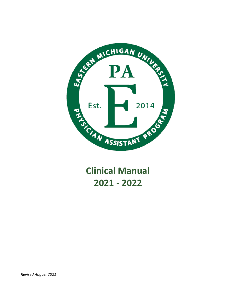

**Clinical Manual 2021 - 2022**

*Revised August 2021*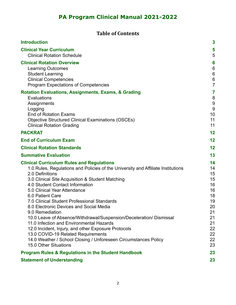## **Table of Contents**

| <b>Introduction</b>                                                                                                                                                                                                                                                                                                                                                                                                                                                                                                                                                                                                                                                                                                         | $\boldsymbol{3}$                                                                             |
|-----------------------------------------------------------------------------------------------------------------------------------------------------------------------------------------------------------------------------------------------------------------------------------------------------------------------------------------------------------------------------------------------------------------------------------------------------------------------------------------------------------------------------------------------------------------------------------------------------------------------------------------------------------------------------------------------------------------------------|----------------------------------------------------------------------------------------------|
| <b>Clinical Year Curriculum</b><br><b>Clinical Rotation Schedule</b>                                                                                                                                                                                                                                                                                                                                                                                                                                                                                                                                                                                                                                                        | 5<br>5                                                                                       |
| <b>Clinical Rotation Overview</b><br><b>Learning Outcomes</b><br><b>Student Learning</b><br><b>Clinical Competencies</b><br><b>Program Expectations of Competencies</b>                                                                                                                                                                                                                                                                                                                                                                                                                                                                                                                                                     | 6<br>6<br>$\,6$<br>$\,6$<br>$\overline{7}$                                                   |
| <b>Rotation Evaluations, Assignments, Exams, &amp; Grading</b><br>Evaluations<br>Assignments<br>Logging<br><b>End of Rotation Exams</b><br><b>Objective Structured Clinical Examinations (OSCEs)</b><br><b>Clinical Rotation Grading</b>                                                                                                                                                                                                                                                                                                                                                                                                                                                                                    | 7<br>8<br>$9\,$<br>$\overline{9}$<br>10<br>11<br>11                                          |
| <b>PACKRAT</b>                                                                                                                                                                                                                                                                                                                                                                                                                                                                                                                                                                                                                                                                                                              | 12                                                                                           |
| <b>End of Curriculum Exam</b>                                                                                                                                                                                                                                                                                                                                                                                                                                                                                                                                                                                                                                                                                               | 12                                                                                           |
| <b>Clinical Rotation Standards</b>                                                                                                                                                                                                                                                                                                                                                                                                                                                                                                                                                                                                                                                                                          | 12                                                                                           |
| <b>Summative Evaluation</b>                                                                                                                                                                                                                                                                                                                                                                                                                                                                                                                                                                                                                                                                                                 | 13                                                                                           |
| <b>Clinical Curriculum Rules and Regulations</b><br>1.0 Rules, Regulations and Policies of the University and Affiliate Institutions<br>2.0 Definitions<br>3.0 Clinical Site Acquisition & Student Matching<br>4.0 Student Contact Information<br>5.0 Clinical Year Attendance<br>6.0 Patient Care<br>7.0 Clinical Student Professional Standards<br>8.0 Electronic Devices and Social Media<br>9.0 Remediation<br>10.0 Leave of Absence/Withdrawal/Suspension/Deceleration/ Dismissal<br>11.0 Infection and Environmental Hazards<br>12.0 Incident, Injury, and other Exposure Protocols<br>13.0 COVID-19 Related Requirements<br>14.0 Weather / School Closing / Unforeseen Circumstances Policy<br>15.0 Other Situations | 14<br>14<br>15<br>15<br>16<br>16<br>18<br>19<br>20<br>21<br>21<br>21<br>22<br>22<br>22<br>23 |
| <b>Program Rules &amp; Regulations in the Student Handbook</b>                                                                                                                                                                                                                                                                                                                                                                                                                                                                                                                                                                                                                                                              | 23                                                                                           |
| <b>Statement of Understanding</b>                                                                                                                                                                                                                                                                                                                                                                                                                                                                                                                                                                                                                                                                                           | 23                                                                                           |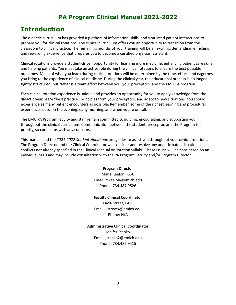# **Introduction**

The didactic curriculum has provided a plethora of information, skills, and simulated patient interactions to prepare you for clinical rotations. The clinical curriculum offers you an opportunity to transition from the classroom to clinical practice. The remaining months of your training will be an exciting, demanding, enriching, and rewarding experience that prepares you to become a certified physician assistant.

Clinical rotations provide a student-driven opportunity for learning more medicine, enhancing patient care skills, and helping patients. You must take an active role during the clinical rotations to ensure the best possible outcomes. Much of what you learn during clinical rotations will be determined by the time, effort, and eagerness you bring to the experience of clinical medicine. During the clinical year, the educational process is no longer tightly structured, but rather is a team effort between you, your preceptors, and the EMU PA program.

Each clinical rotation experience is unique and provides an opportunity for you to apply knowledge from the didactic year, learn "best practice" principles from your preceptors, and adapt to new situations. You should experience as many patient encounters as possible. Remember, some of the richest learning and procedural experiences occur in the evening, early morning, and when you're on call.

The EMU PA Program faculty and staff remain committed to guiding, encouraging, and supporting you throughout the clinical curriculum. Communication between the student, preceptor, and the Program is a priority, so contact us with any concerns.

This manual and the *2021-2022 Student Handbook* are guides to assist you throughout your clinical rotations. The Program Director and the Clinical Coordinator will consider and resolve any unanticipated situations or conflicts not already specified in the Clinical Manual or Rotation Syllabi. These issues will be considered on an individual basis and may include consultation with the PA Program Faculty and/or Program Director.

#### **Program Director**

Maria Keelon, PA-C Email: mkeelon@emich.edu Phone: 734.487.9526

#### **Faculty Clinical Coordinator**

Kayla Street, PA-C Email: kstreet4@emich.edu Phone: N/A

#### **Administrative Clinical Coordinator**

Jenifer Stanko Email: jstanko2@emich.edu Phone: 734.487.9415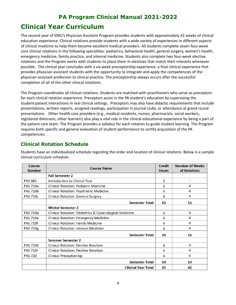# <span id="page-3-0"></span>**PA Program Clinical Manual 2021-2022 Clinical Year Curriculum**

The second year of EMU's Physician Assistant Program provides students with approximately 42 weeks of clinical education experience. Clinical rotations provide students with a wide variety of experiences in different aspects of clinical medicine to help them become excellent medical providers. All students complete seven four-week core clinical rotations in the following specialties: pediatrics, behavioral health, general surgery, women's health, emergency medicine, family practice, and internal medicine. Students also complete two four-week elective rotations and the Program works with students to place them in electives that match their interests whenever possible. The clinical year concludes with a six-week preceptorship experience, a final clinical experience that provides physician assistant students with the opportunity to integrate and apply the competencies of the physician assistant profession to clinical practice. The preceptorship always occurs after the successful completion of all of the other clinical rotations.

The Program coordinates all clinical rotations. Students are matched with practitioners who serve as preceptors for each clinical rotation experience. Preceptors assist in the PA student's education by supervising the student-patient interactions in real clinical settings. Preceptors may also have didactic requirements that include presentations, written reports, assigned readings, participation in journal clubs, or attendance at grand round presentations. Other health care providers (e.g., medical residents, nurses, pharmacists, social workers, registered dieticians, other learners) also play a vital role in the clinical educational experience by being a part of the patient care team. The Program provides a syllabus for each rotation to guide student learning. The Program requires both specific and general evaluation of student performance to certify acquisition of the PA competencies.

## <span id="page-3-1"></span>**Clinical Rotation Schedule**

Students have an individualized schedule regarding the order and location of clinical rotations. Below is a sample clinical curriculum schedule:

| Course<br><b>Number</b> | <b>Course Name</b>                                     | Credit<br><b>Hours</b> | <b>Number of Weeks</b><br>of Rotations |
|-------------------------|--------------------------------------------------------|------------------------|----------------------------------------|
|                         | <b>Fall Semester 2</b>                                 |                        |                                        |
| PAS 681                 | Introduction to Clinical Year                          | 3                      | $\overline{a}$                         |
| <b>PAS 710a</b>         | <b>Clinical Rotation: Pediatric Medicine</b>           | 4                      | 4                                      |
| <b>PAS 710b</b>         | Clinical Rotation: Psychiatric Medicine                | 4                      | 4                                      |
| <b>PAS 710c</b>         | <b>Clinical Rotation: General Surgery</b>              | 4                      | 4                                      |
|                         | <b>Semester Total</b>                                  | 15                     | 12                                     |
|                         | <b>Winter Semester 2</b>                               |                        |                                        |
| <b>PAS 710d</b>         | Clinical Rotation: Obstetrics & Gynecological Medicine | 4                      | 4                                      |
| <b>PAS 710e</b>         | <b>Clinical Rotation: Emergency Medicine</b>           | 4                      | 4                                      |
| <b>PAS 710f</b>         | <b>Clinical Rotation: Family Medicine</b>              | 4                      | 4                                      |
| <b>PAS 710g</b>         | <b>Clinical Rotation: Internal Medicine</b>            | 4                      | 4                                      |
|                         | <b>Semester Total</b>                                  | 16                     | 16                                     |
|                         | <b>Summer Semester 2</b>                               |                        |                                        |
| <b>PAS 710h</b>         | <b>Clinical Rotation: Elective Rotation</b>            | 4                      | 4                                      |
| <b>PAS 710i</b>         | <b>Clinical Rotation: Elective Rotation</b>            | 4                      | 4                                      |
| <b>PAS 720</b>          | <b>Clinical Preceptorship</b>                          | 6                      | 6                                      |
|                         | <b>Semester Total</b>                                  | 14                     | 14                                     |
|                         | <b>Clinical Year Total</b>                             | 45                     | 42                                     |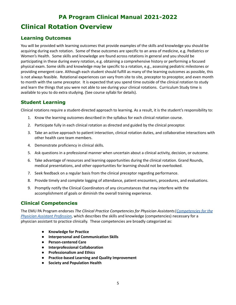# <span id="page-4-0"></span>**PA Program Clinical Manual 2021-2022 Clinical Rotation Overview**

## <span id="page-4-1"></span>**Learning Outcomes**

You will be provided with learning outcomes that provide examples of the skills and knowledge you should be acquiring during each rotation. Some of these outcomes are specific to an area of medicine, e.g. Pediatrics or Women's Health. Some skills and knowledge are found across rotations in general and you should be participating in these during every rotation, e.g. obtaining a comprehensive history or performing a focused physical exam. Some skills and knowledge may be specific to a rotation, e.g., assessing pediatric milestones or providing emergent care. Although each student should fulfill as many of the learning outcomes as possible, this is not always feasible. Rotational experiences can vary from site to site, preceptor to preceptor, and even month to month with the same preceptor. It is expected that you spend time outside of the clinical rotation to study and learn the things that you were not able to see during your clinical rotations. Curriculum Study time is available to you to do extra studying. (See course syllabi for details).

## <span id="page-4-2"></span>**Student Learning**

Clinical rotations require a student-directed approach to learning. As a result, it is the student's responsibility to:

- 1. Know the learning outcomes described in the syllabus for each clinical rotation course.
- 2. Participate fully in each clinical rotation as directed and guided by the clinical preceptor.
- 3. Take an active approach to patient interaction, clinical rotation duties, and collaborative interactions with other health care team members.
- 4. Demonstrate proficiency in clinical skills.
- 5. Ask questions in a professional manner when uncertain about a clinical activity, decision, or outcome.
- 6. Take advantage of resources and learning opportunities during the clinical rotation. Grand Rounds, medical presentations, and other opportunities for learning should not be overlooked.
- 7. Seek feedback on a regular basis from the clinical preceptor regarding performance.
- 8. Provide timely and complete logging of attendance, patient encounters, procedures, and evaluations.
- 9. Promptly notify the Clinical Coordinators of any circumstances that may interfere with the accomplishment of goals or diminish the overall training experience.

## <span id="page-4-3"></span>**Clinical Competencies**

The EMU PA Program endorses *The Clinical Practice Competencies for Physician Assistants[|Competencies](https://paeaonline.org/wp-content/uploads/2021/03/competencies-for-the-pa-profession-2020605.pdf?v=2021-08-18T18:47:00Z) for the Physician Assistant [Profession](https://paeaonline.org/wp-content/uploads/2021/03/competencies-for-the-pa-profession-2020605.pdf?v=2021-08-18T18:47:00Z)*, which describes the skills and knowledge (competencies) necessary for a physician assistant to practice clinically. These competencies are broadly categorized as:

- **● Knowledge for Practice**
- **● Interpersonal and Communication Skills**
- **● Person-centered Care**
- **● Interprofessional Collaboration**
- **● Professionalism and Ethics**
- **Practice-based Learning and Quality Improvement**
- **Society and Population Health**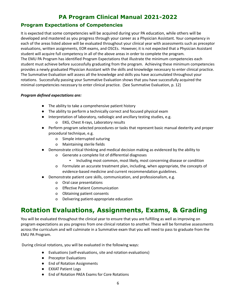## <span id="page-5-0"></span>**Program Expectations of Competencies**

It is expected that some competencies will be acquired during your PA education, while others will be developed and mastered as you progress through your career as a Physician Assistant. Your competency in each of the areas listed above will be evaluated throughout your clinical year with assessments such as preceptor evaluations, written assignments, EOR exams, and OSCEs. However, it is not expected that a Physician Assistant student will acquire full competency in all of the above areas in order to complete the program. The EMU PA Program has identified Program Expectations that illustrate the minimum competencies each student must achieve before successfully graduating from the program. Achieving these minimum competencies provides a newly graduated Physician Assistant with the skills and knowledge necessary to enter clinical practice. The Summative Evaluation will assess all the knowledge and skills you have accumulated throughout your rotations. Successfully passing your Summative Evaluation shows that you have successfully acquired the minimal competencies necessary to enter clinical practice. (See Summative Evaluation, p. 12)

#### *Program defined expectations are:*

- The ability to take a comprehensive patient history
- The ability to perform a technically correct and focused physical exam
- Interpretation of laboratory, radiologic and ancillary testing studies, e.g.
	- o EKG, Chest X-rays, Laboratory results
- Perform program selected procedures or tasks that represent basic manual dexterity and proper procedural technique, e.g.
	- o Simple interrupted suturing
	- o Maintaining sterile fields
- Demonstrate critical thinking and medical decision making as evidenced by the ability to
	- o Generate a complete list of differential diagnoses
		- Including most common, most likely, most concerning disease or condition
	- o Formulate an accurate treatment plan, including, when appropriate, the concepts of evidence-based medicine and current recommendation guidelines.
- Demonstrate patient care skills, communication, and professionalism, e.g.
	- o Oral case presentations
	- o Effective Patient Communication
	- o Obtaining patient consents
	- o Delivering patient-appropriate education

# <span id="page-5-1"></span>**Rotation Evaluations, Assignments, Exams, & Grading**

You will be evaluated throughout the clinical year to ensure that you are fulfilling as well as improving on program expectations as you progress from one clinical rotation to another. These will be formative assessments across the curriculum and will culminate in a Summative exam that you will need to pass to graduate from the EMU PA Program.

During clinical rotations, you will be evaluated in the following ways:

- Evaluations (self-evaluations, site and rotation evaluations)
- Preceptor Evaluations
- End of Rotation Assignments
- EXXAT Patient Logs
- End of Rotation PAEA Exams for Core Rotations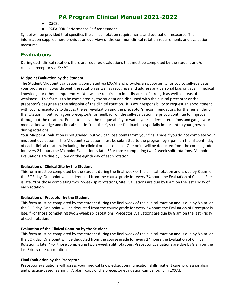- OSCEs
- PAEA EOR Performance Self Assessment

Syllabi will be provided that specifies the clinical rotation requirements and evaluation measures. The information supplied here provides an overview of the common clinical rotation requirements and evaluation measures.

## <span id="page-6-0"></span>**Evaluations**

During each clinical rotation, there are required evaluations that must be completed by the student and/or clinical preceptor via EXXAT.

#### **Midpoint Evaluation by the Student**

The Student Midpoint Evaluation is completed via EXXAT and provides an opportunity for you to self-evaluate your progress midway through the rotation as well as recognize and address any personal bias or gaps in medical knowledge or other competencies. You will be required to identify areas of strength as well as areas of weakness. This form is to be completed by the student and discussed with the clinical preceptor or the preceptor's designee at the midpoint of the clinical rotation. It is your responsibility to request an appointment with your preceptor/s to discuss the self-evaluation and the preceptor's recommendations for the remainder of the rotation. Input from your preceptor/s for feedback on the self-evaluation helps you continue to improve throughout the rotation. Preceptors have the unique ability to watch your patient interactions and gauge your medical knowledge and clinical skills in "real-time", so their feedback is especially important to your growth during rotations.

Your Midpoint Evaluation is not graded, but you can lose points from your final grade if you do not complete your midpoint evaluation. The Midpoint Evaluation must be submitted to the program by 5 p.m. on the fifteenth day of each clinical rotation, including the clinical preceptorship. One point will be deducted from the course grade for every 24 hours the Midpoint Evaluation is late. \*For those completing two 2-week split rotations, Midpoint Evaluations are due by 5 pm on the eighth day of each rotation.

#### **Evaluation of Clinical Site by the Student**

This form must be completed by the student during the final week of the clinical rotation and is due by 8 a.m. on the EOR day. One point will be deducted from the course grade for every 24 hours the Evaluation of Clinical Site is late. \*For those completing two 2-week split rotations, Site Evaluations are due by 8 am on the last Friday of each rotation.

#### **Evaluation of Preceptor by the Student**

This form must be completed by the student during the final week of the clinical rotation and is due by 8 a.m. on the EOR day. One point will be deducted from the course grade for every 24 hours the Evaluation of Preceptor is late. \*For those completing two 2-week split rotations, Preceptor Evaluations are due by 8 am on the last Friday of each rotation.

#### **Evaluation of the Clinical Rotation by the Student**

This form must be completed by the student during the final week of the clinical rotation and is due by 8 a.m. on the EOR day. One point will be deducted from the course grade for every 24 hours the Evaluation of Clinical Rotation is late. \*For those completing two 2-week split rotations, Preceptor Evaluations are due by 8 am on the last Friday of each rotation.

#### **Final Evaluation by the Preceptor**

Preceptor evaluations will assess your medical knowledge, communication skills, patient care, professionalism, and practice-based learning. A blank copy of the preceptor evaluation can be found in EXXAT.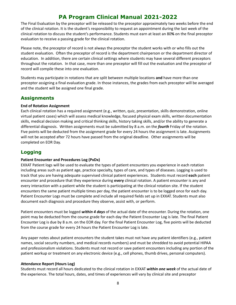The Final Evaluation by the preceptor will be released to the preceptor approximately two weeks before the end of the clinical rotation. It is the student's responsibility to request an appointment during the last week of the clinical rotation to discuss the student's performance. Students must earn at least an 80**%** on the final preceptor evaluation to receive a passing grade for the clinical rotation.

Please note, the preceptor of record is not always the preceptor the student works with or who fills out the student evaluation. Often the preceptor of record is the department chairperson or the department director of education. In addition, there are certain clinical settings where students may have several different preceptors throughout the rotation. In that case, more than one preceptor will fill out the evaluation and the preceptor of record will compile these into one evaluation.

Students may participate in rotations that are split between multiple locations **and** have more than one preceptor assigning a final evaluation grade. In those instances, the grades from each preceptor will be averaged and the student will be assigned one final grade.

## <span id="page-7-0"></span>**Assignments**

### **End of Rotation Assignment**

Each clinical rotation has a required assignment (e.g., written, quiz, presentation, skills demonstration, online virtual patient cases) which will assess medical knowledge, focused physical exam skills, written documentation skills, medical decision making and critical thinking skills, history taking skills, and/or the ability to generate a differential diagnosis. Written assignments must be submitted by 8 a.m. on the *fourth* Friday of the rotation. Five points will be deducted from the assignment grade for every 24 hours the assignment is late. Assignments will not be accepted after 72 hours have passed from the original deadline. Other assignments will be completed on EOR Day.

## <span id="page-7-1"></span>**Logging**

### **Patient Encounter and Procedures Log (PxDx)**

EXXAT Patient logs will be used to evaluate the types of patient encounters you experience in each rotation including areas such as patient age, practice specialty, types of care, and types of diseases. Logging is used to track that you are having adequate supervised clinical patient experiences. Students must record **each** patient encounter and procedure that they experience during **every** clinical rotation. A patient encounter is any and every interaction with a patient while the student is participating at the clinical rotation site. If the student encounters the same patient multiple times per day, the patient encounter is to be logged once for each day. Patient Encounter Logs must be complete and include all required fields set up in EXXAT. Students must also document each diagnosis and procedure they observe, assist with, or perform.

Patient encounters must be logged *within 4 days* of the actual date of the encounter. During the rotation, one point may be deducted from the course grade for each day the Patient Encounter Log is late. The final Patient Encounter Log is due by 8 a.m. on the EOR day. For the final Patient Encounter Log, five points will be deducted from the course grade for every 24 hours the Patient Encounter Log is late.

Any paper notes about patient encounters the student takes must not have any patient identifiers (e.g., patient names, social security numbers, and medical records numbers) and must be shredded to avoid potential HIPAA and professionalism violations. Students must not record or save patient encounters including any portion of the patient workup or treatment on any electronic device (e.g., cell phones, thumb drives, personal computers).

#### **Attendance Report (Hours Log)**

Students must record all hours dedicated to the clinical rotation in EXXAT *within one week* of the actual date of the experience. The total hours, dates, and times of experiences will vary by clinical site and preceptor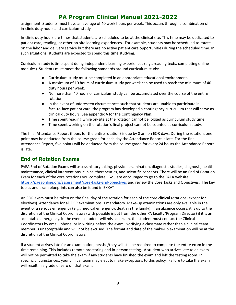assignment. Students must have an average of 40 work hours per week. This occurs through a combination of in-clinic duty hours and curriculum study.

In-clinic duty hours are times that students are scheduled to be at the clinical site. This time may be dedicated to patient care, reading, or other on-site learning experiences. For example, students may be scheduled to rotate on the labor and delivery service but there are no active patient care opportunities during the scheduled time. In such situations, students are expected to spend this time studying.

Curriculum study is time spent doing independent learning experiences (e.g., reading texts, completing online modules). Students must meet the following standards around curriculum study:

- Curriculum study must be completed in an appropriate educational environment.
- A maximum of 10 hours of curriculum study per week can be used to reach the minimum of 40 duty hours per week.
- No more than 40 hours of curriculum study can be accumulated over the course of the entire rotation.
- In the event of unforeseen circumstances such that students are unable to participate in face-to-face patient care, the program has developed a contingency curriculum that will serve as clinical duty hours. See appendix A for the Contingency Plan.
- Time spent reading while on-site at the rotation cannot be logged as curriculum study time.
- Time spent working on the rotation's final project cannot be counted as curriculum study.

The final Attendance Report (hours for the entire rotation) is due by 8 am on EOR days. During the rotation, one point may be deducted from the course grade for each day the Attendance Report is late. For the final Attendance Report, five points will be deducted from the course grade for every 24 hours the Attendance Report is late.

## <span id="page-8-0"></span>**End of Rotation Exams**

PAEA End of Rotation Exams will assess history taking, physical examination, diagnostic studies, diagnosis, health maintenance, clinical interventions, clinical therapeutics, and scientific concepts. There will be an End of Rotation Exam for each of the core rotations you complete. You are encouraged to go to the PAEA website <https://paeaonline.org/assessment/core-tasks-and-objectives> and review the Core Tasks and Objectives. The key topics and exam blueprints can also be found in EXXAT.

An EOR exam must be taken on the final day of the rotation for each of the core clinical rotations (except for electives). Attendance for all EOR examinations is mandatory. Make-up examinations are only available in the event of a serious emergency (e.g., medical emergency, death in the family). If an absence occurs, it is up to the discretion of the Clinical Coordinators (with possible input from the other PA faculty/Program Director) if it is an acceptable emergency. In the event a student will miss an exam, the student must contact the Clinical Coordinators by email, phone, or in writing before the exam. Notifying a classmate rather than a clinical team member is unacceptable and will not be excused. The format and date of the make-up examination will be at the discretion of the Clinical Coordinators.

If a student arrives late for an examination, he/she/they will still be required to complete the entire exam in the time remaining. This includes remote proctoring and in-person testing. A student who arrives late to an exam will not be permitted to take the exam if any students have finished the exam and left the testing room. In specific circumstances, your clinical team may elect to make exceptions to this policy. Failure to take the exam will result in a grade of zero on that exam.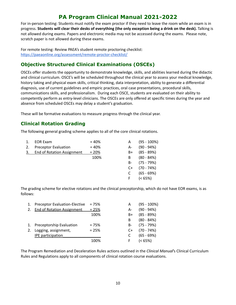For in-person testing: Students must notify the exam proctor if they need to leave the room while an exam is in progress. Students will clear their desks of everything (the only exception being a drink on the desk). Talking is not allowed during exams. Papers and electronic media may not be accessed during the exams. Please note, scratch paper is not allowed during these exams.

For remote testing: Review PAEA's student remote proctoring checklist: <https://paeaonline.org/assessment/remote-proctor-checklist/>

## <span id="page-9-0"></span>**Objective Structured Clinical Examinations (OSCEs)**

OSCEs offer students the opportunity to demonstrate knowledge, skills, and abilities learned during the didactic and clinical curriculum. OSCE's will be scheduled throughout the clinical year to assess your medical knowledge, history taking and physical exam skills, critical thinking, data interpretation, ability to generate a differential diagnosis, use of current guidelines and empiric practices, oral case presentations, procedural skills, communications skills, and professionalism. During each OSCE, students are evaluated on their ability to competently perform as entry-level clinicians. The OSCEs are only offered at specific times during the year and absence from scheduled OSCEs may delay a student's graduation.

<span id="page-9-1"></span>These will be formative evaluations to measure progress through the clinical year.

## **Clinical Rotation Grading**

The following general grading scheme applies to all of the core clinical rotations.

| 1. | <b>EOR Exam</b>                   | $= 40%$ |    | $(95 - 100\%)$ |
|----|-----------------------------------|---------|----|----------------|
| 2. | <b>Preceptor Evaluation</b>       | $= 40%$ | A- | $(90 - 94%)$   |
| 3. | <b>End of Rotation Assignment</b> | $= 20%$ | B+ | $(85 - 89%)$   |
|    |                                   | 100%    | B  | $(80 - 84%)$   |
|    |                                   |         | B- | $(75 - 79%)$   |
|    |                                   |         | C+ | $(70 - 74%)$   |
|    |                                   |         |    | $(65 - 69%)$   |
|    |                                   |         |    | $(< 65\%)$     |
|    |                                   |         |    |                |

The grading scheme for elective rotations and the clinical preceptorship, which do not have EOR exams, is as follows:

| 1. | <b>Preceptor Evaluation-Elective</b> | $= 75%$ | А  | $(95 - 100\%)$ |
|----|--------------------------------------|---------|----|----------------|
| 2. | <b>End of Rotation Assignment</b>    | $= 25%$ | A- | $(90 - 94%)$   |
|    |                                      | 100%    | B+ | $(85 - 89%)$   |
|    |                                      |         | B  | $(80 - 84%)$   |
|    | 1. Preceptorship Evaluation          | $= 75%$ | B- | $(75 - 79%)$   |
| 2. | Logging, assignment,                 | $= 25%$ | C+ | $(70 - 74%)$   |
|    | <b>IPE</b> participation             |         |    | $(65 - 69%)$   |
|    |                                      | 100%    | F  | $(< 65\%)$     |
|    |                                      |         |    |                |

The Program Remediation and Deceleration Rules actions outlined in the *Clinical Manual*'s Clinical Curriculum Rules and Regulations apply to all components of clinical rotation course evaluations.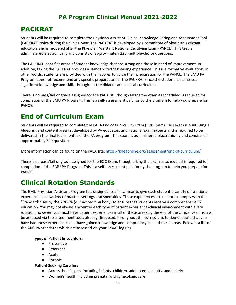# <span id="page-10-0"></span>**PACKRAT**

Students will be required to complete the Physician Assistant Clinical Knowledge Rating and Assessment Tool (PACKRAT) twice during the clinical year. The PACKRAT is developed by a committee of physician assistant educators and is modeled after the Physician Assistant National Certifying Exam (PANCE). This test is administered electronically and consists of approximately 225 multiple-choice questions.

The PACKRAT identifies areas of student knowledge that are strong and those in need of improvement. In addition, taking the PACKRAT provides a standardized test-taking experience. This is a formative evaluation; in other words, students are provided with their scores to guide their preparation for the PANCE. The EMU PA Program does not recommend any specific preparation for the PACKRAT since the student has amassed significant knowledge and skills throughout the didactic and clinical curriculum.

There is no pass/fail or grade assigned for the PACKRAT, though taking the exam as scheduled is required for completion of the EMU PA Program. This is a self-assessment paid for by the program to help you prepare for PANCE.

# <span id="page-10-1"></span>**End of Curriculum Exam**

Students will be required to complete the PAEA End of Curriculum Exam (EOC Exam). This exam is built using a blueprint and content area list developed by PA educators and national exam experts and is required to be delivered in the final four months of the PA program. This exam is administered electronically and consists of approximately 300 questions.

More information can be found on the PAEA site: <https://paeaonline.org/assessment/end-of-curriculum/>

There is no pass/fail or grade assigned for the EOC Exam, though taking the exam as scheduled is required for completion of the EMU PA Program. This is a self-assessment paid for by the program to help you prepare for PANCE.

# <span id="page-10-2"></span>**Clinical Rotation Standards**

The EMU Physician Assistant Program has designed its clinical year to give each student a variety of rotational experiences in a variety of practice settings and specialties. These experiences are meant to comply with the "Standards" set by the ARC-PA (our accrediting body) to ensure that students receive a comprehensive PA education. You may not always encounter each type of patient experience/clinical environment with every rotation; however, you must have patient experiences in all of these areas by the end of the clinical year. You will be assessed via the assessment tools already discussed, throughout the curriculum, to demonstrate that you have had these experiences and have gained knowledge and competency in all of these areas. Below is a list of the ARC-PA Standards which are assessed via your EXXAT logging.

### **Types of Patient Encounters:**

- Preventive
- Emergent
- Acute
- Chronic

**Patient Seeking Care for:**

- Across the lifespan, including infants, children, adolescents, adults, and elderly
- Women's health including prenatal and gynecologic care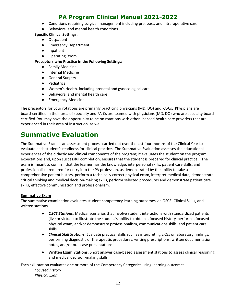- Conditions requiring surgical management including pre, post, and intra-operative care
- Behavioral and mental health conditions

#### **Specific Clinical Settings:**

- **●** Outpatient
- **●** Emergency Department
- **●** Inpatient
- **●** Operating Room

#### **Preceptors who Practice in the Following Settings:**

- **●** Family Medicine
- **●** Internal Medicine
- **●** General Surgery
- **●** Pediatrics
- **●** Women's Health, including prenatal and gynecological care
- **●** Behavioral and mental health care
- **●** Emergency Medicine

The preceptors for your rotations are primarily practicing physicians (MD, DO) and PA-Cs. Physicians are board-certified in their area of specialty and PA-Cs are teamed with physicians (MD, DO) who are specialty board certified. You may have the opportunity to be on rotations with other licensed health care providers that are experienced in their area of instruction, as well.

# <span id="page-11-0"></span>**Summative Evaluation**

The Summative Exam is an assessment process carried out over the last four months of the Clinical Year to evaluate each student's readiness for clinical practice. The Summative Evaluation assesses the educational experiences of the didactic and clinical components of the program; it evaluates the student on the program expectations and, upon successful completion, ensures that the student is prepared for clinical practice. The exam is meant to confirm that the learner has the knowledge, interpersonal skills, patient care skills, and professionalism required for entry into the PA profession, as demonstrated by the ability to take a comprehensive patient history, perform a technically correct physical exam, interpret medical data, demonstrate critical thinking and medical decision-making skills, perform selected procedures and demonstrate patient care skills, effective communication and professionalism.

### **Summative Exam**

The summative examination evaluates student competency learning outcomes via OSCE, Clinical Skills, and written stations.

- *● OSCE Stations:* Medical scenarios that involve student interactions with standardized patients (live or virtual) to illustrate the student's ability to obtain a focused history, perform a focused physical exam, and/or demonstrate professionalism, communications skills, and patient care skills.
- *● Clinical Skill Stations: E*valuate practical skills such as interpreting EKGs or laboratory findings, performing diagnostic or therapeutic procedures, writing prescriptions, written documentation notes, and/or oral case presentations.
- *●* **Written Exam Stations**: Short answer case-based assessment stations to assess clinical reasoning and medical decision-making skills.

Each skill station evaluates one or more of the Competency Categories using learning outcomes. *Focused history Physical Exam*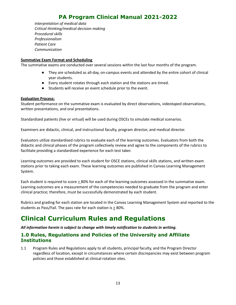*Interpretation of medical data Critical thinking/medical decision making Procedural skills Professionalism Patient Care Communication*

#### **Summative Exam Format and Scheduling**

The summative exams are conducted over several sessions within the last four months of the program.

- They are scheduled as all-day, on-campus events and attended by the entire cohort of clinical year students.
- Every student rotates through each station and the stations are timed.
- Students will receive an event schedule prior to the event.

#### **Evaluation Process:**

Student performance on the summative exam is evaluated by direct observations, videotaped observations, written presentations, and oral presentations.

Standardized patients (live or virtual) will be used during OSCEs to simulate medical scenarios.

Examiners are didactic, clinical, and instructional faculty, program director, and medical director.

Evaluators utilize standardized rubrics to evaluate each of the learning outcomes*.* Evaluators from both the didactic and clinical phases of the program collectively review and agree to the components of the rubrics to facilitate providing a standardized experience for each test taker.

Learning outcomes are provided to each student for OSCE stations, clinical skills stations, and written exam stations prior to taking each exam. These learning outcomes are published in Canvas Learning Management System.

Each student is required to score  $\geq$  80% for each of the learning outcomes assessed in the summative exam. Learning outcomes are a measurement of the competencies needed to graduate from the program and enter clinical practice; therefore, must be successfully demonstrated by each student.

Rubrics and grading for each station are located in the Canvas Learning Management System and reported to the students as Pass/Fail. The pass rate for each station is  $\geq$  80%.

# <span id="page-12-0"></span>**Clinical Curriculum Rules and Regulations**

*All information herein is subject to change with timely notification to students in writing.*

### <span id="page-12-1"></span>**1.0 Rules, Regulations and Policies of the University and Affiliate Institutions**

1.1 Program Rules and Regulations apply to all students, principal faculty, and the Program Director regardless of location, except in circumstances where certain discrepancies may exist between program policies and those established at clinical rotation sites.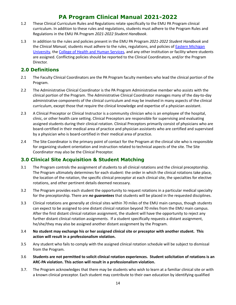- 1.2 These Clinical Curriculum Rules and Regulations relate specifically to the EMU PA Program clinical curriculum. In addition to these rules and regulations, students must adhere to the Program Rules and Regulations in the EMU PA Program *2021-2022 Student Handbook*.
- 1.3 In addition to the rules and policies present in the EMU PA Program *2021-2022 Student Handbook* and the *Clinical Manual*, students must adhere to the rules, regulations, and policies of Eastern [Michigan](http://www.emich.edu/) [University](http://www.emich.edu/), the College of Health and Human [Services](http://www.emich.edu/chhs/), and any other institution or facility where students are assigned. Conflicting policies should be reported to the Clinical Coordinators, and/or the Program Director.

## <span id="page-13-0"></span>**2.0 Definitions**

- 2.1 The Faculty Clinical Coordinators are the PA Program faculty members who lead the clinical portion of the Program.
- 2.2 The Administrative Clinical Coordinator is the PA Program Administrative member who assists with the clinical portion of the Program. The Administrative Clinical Coordinator manages many of the day-to-day administrative components of the clinical curriculum and may be involved in many aspects of the clinical curriculum, except those that require the clinical knowledge and expertise of a physician assistant.
- 2.3 A Clinical Preceptor or Clinical Instructor is a community clinician who is an employee of the hospital, clinic, or other health care setting. Clinical Preceptors are responsible for supervising and evaluating assigned students during their clinical rotation. Clinical Preceptors primarily consist of physicians who are board-certified in their medical area of practice and physician assistants who are certified and supervised by a physician who is board-certified in their medical area of practice.
- 2.4 The Site Coordinator is the primary point of contact for the Program at the clinical site who is responsible for organizing student orientation and instruction related to technical aspects of the site. The Site Coordinator may also be the Clinical Preceptor.

## <span id="page-13-1"></span>**3.0 Clinical Site Acquisition & Student Matching**

- 3.1 The Program controls the assignment of students to all clinical rotations and the clinical preceptorship. The Program ultimately determines for each student: the order in which the clinical rotations take place, the location of the rotation, the specific clinical preceptor at each clinical site, the specialties for elective rotations, and other pertinent details deemed necessary.
- 3.2 The Program provides each student the opportunity to request rotations in a particular medical specialty for the preceptorship. There are *no guarantees* that students will be placed in the requested disciplines.
- 3.3 Clinical rotations are generally at clinical sites within 70 miles of the EMU main campus, though students can expect to be assigned to one distant clinical rotation beyond 70 miles from the EMU main campus. After the first distant clinical rotation assignment, the student will have the opportunity to reject any further distant clinical rotation assignments. If a student specifically requests a distant assignment, he/she/they may also be assigned another distant assignment by the Program.
- 3.4 **No student may exchange his or her assigned clinical site or preceptor with another student. This action will result in a professionalism violation.**
- 3.5 Any student who fails to comply with the assigned clinical rotation schedule will be subject to dismissal from the Program.
- 3.6 **Students are not permitted to solicit clinical rotation experiences. Student solicitation of rotations is an ARC-PA violation. This action will result in a professionalism violation.**
- 3.7. The Program acknowledges that there may be students who wish to learn at a familiar clinical site or with a known clinical preceptor. Each student may contribute to their own education by identifying qualified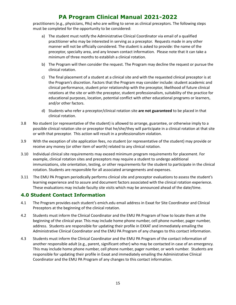practitioners (e.g., physicians, PAs) who are willing to serve as clinical preceptors. The following steps must be completed for the opportunity to be considered:

- a) The student must notify the Administrative Clinical Coordinator via email of a qualified practitioner who may be interested in serving as a preceptor. Requests made in any other manner will not be officially considered. The student is asked to provide: the name of the preceptor, specialty area, and any known contact information. Please note that it can take a minimum of three months to establish a clinical rotation.
- b) The Program will then consider the request. The Program may decline the request or pursue the clinical rotation.
- c) The final placement of a student at a clinical site and with the requested clinical preceptor is at the Program's discretion. Factors that the Program may consider include: student academic and clinical performance, student prior relationship with the preceptor, likelihood of future clinical rotations at the site or with the preceptor, student professionalism, suitability of the practice for educational purposes, location, potential conflict with other educational programs or learners, and/or other factors.
- d) Students who refer a preceptor/clinical rotation site **are not guaranteed** to be placed in that clinical rotation.
- 3.8 No student (or representative of the student) is allowed to arrange, guarantee, or otherwise imply to a possible clinical rotation site or preceptor that he/she/they will participate in a clinical rotation at that site or with that preceptor. This action will result in a professionalism violation.
- 3.9 With the exception of site application fees, no student (or representative of the student) may provide or receive any money (or other item of worth) related to any clinical rotation.
- 3.10 Individual clinical site requirements may exceed minimum program requirements for placement. For example, clinical rotation sites and preceptors may require a student to undergo additional immunizations, site orientation, testing, or other requirements for the student to participate in the clinical rotation. Students are responsible for all associated arrangements and expenses.
- 3.11 The EMU PA Program periodically performs clinical site and preceptor evaluations to assess the student's learning experience and to assure and document factors associated with the clinical rotation experience. These evaluations may include faculty site visits which may be announced ahead of the date/time.

## <span id="page-14-0"></span>**4.0 Student Contact Information**

- 4.1 The Program provides each student's emich.edu email address in Exxat for Site Coordinator and Clinical Preceptors at the beginning of the clinical rotation.
- 4.2 Students must inform the Clinical Coordinator and the EMU PA Program of how to locate them at the beginning of the clinical year. This may include home phone number, cell phone number, pager number, address. Students are responsible for updating their profile in EXXAT and immediately emailing the Administrative Clinical Coordinator and the EMU PA Program of any changes to this contact information.
- 4.3 Students must inform the Clinical Coordinator and the EMU PA Program of the contact information of another responsible adult (e.g., parent, significant other) who may be contacted in case of an emergency. This may include home phone number, cell phone number, pager number, or work number. Students are responsible for updating their profile in Exxat and immediately emailing the Administrative Clinical Coordinator and the EMU PA Program of any changes to this contact information.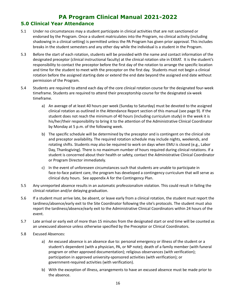### <span id="page-15-0"></span>**5.0 Clinical Year Attendance**

- 5.1 Under no circumstances may a student participate in clinical activities that are not sanctioned or endorsed by the Program. Once a student matriculates into the Program, no clinical activity (including shadowing in a clinical setting) is permitted unless the PA Program has given prior approval. This includes breaks in the student semesters and any other day while the individual is a student in the Program.
- 5.3 Before the start of each rotation, students will be provided with the name and contact information of the designated preceptor (clinical instructional faculty) at the clinical rotation site in EXXAT. It is the student's responsibility to contact the preceptor before the first day of the rotation to arrange the specific location and time for the student to meet with the preceptor on the first day. Students must not begin a clinical rotation before the assigned starting date or extend the end date beyond the assigned end date without permission of the Program.
- 5.4 Students are required to attend each day of the core clinical rotation course for the designated four-week timeframe. Students are required to attend their preceptorship course for the designated six-week timeframe.
	- a) An average of at least 40 hours per week (Sunday to Saturday) must be devoted to the assigned clinical rotation as outlined in the Attendance Report section of this manual (see page 9). If the student does not reach the minimum of 40 hours (including curriculum study) in the week it is his/her/their responsibility to bring it to the attention of the Administrative Clinical Coordinator by Monday at 5 p.m. of the following week.
	- b) The specific schedule will be determined by the preceptor and is contingent on the clinical site and preceptor availability. The required rotation schedule may include nights, weekends, and rotating shifts. Students may also be required to work on days when EMU is closed (e.g., Labor Day, Thanksgiving). There is no maximum number of hours required during clinical rotations. If a student is concerned about their health or safety, contact the Administrative Clinical Coordinator or Program Director immediately.
	- c) In the event of unforeseen circumstances such that students are unable to participate in face-to-face patient care, the program has developed a contingency curriculum that will serve as clinical duty hours. See appendix A for the Contingency Plan.
- 5.5 Any unreported absence results in an automatic professionalism violation. This could result in failing the clinical rotation and/or delaying graduation.
- 5.6 If a student must arrive late, be absent, or leave early from a clinical rotation, the student must report the tardiness/absence/early exit to the Site Coordinator following the site's protocols. The student must also report the tardiness/absence/early exit to the Administrative Clinical Coordinators within 24 hours of the event.
- 5.7 Late arrival or early exit of more than 15 minutes from the designated start or end time will be counted as an unexcused absence unless otherwise specified by the Preceptor or Clinical Coordinators.
- 5.8 Excused Absences:
	- a) An excused absence is an absence due to: personal emergency or illness of the student or a student's dependent (with a physician, PA, or NP note); death of a family member (with funeral program or other approved documentation); religious observances (with verification); participation in approved university-sponsored activities (with verification); or government-required activities (with verification).
	- b) With the exception of illness, arrangements to have an excused absence must be made prior to the absence.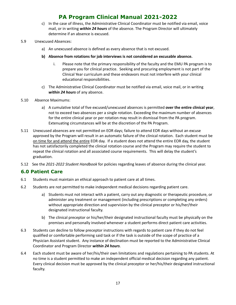- c) In the case of illness, the Administrative Clinical Coordinator must be notified via email, voice mail, or in writing *within 24 hours* of the absence. The Program Director will ultimately determine if an absence is excused.
- 5.9 Unexcused Absences:
	- a) An unexcused absence is defined as every absence that is not excused.
	- **b) Absence from rotations for job interviews is not considered an excusable absence.**
		- i. Please note that the primary responsibility of the faculty and the EMU PA program is to prepare you for clinical practice. Seeking and procuring employment is not part of the Clinical Year curriculum and these endeavors must not interfere with your clinical educational responsibilities.
	- c) The Administrative Clinical Coordinator must be notified via email, voice mail, or in writing *within 24 hours* of any absence.
- 5.10 Absence Maximums:
	- a) A cumulative total of five excused/unexcused absences is permitted **over the entire clinical year**, not to exceed two absences per a single rotation. Exceeding the maximum number of absences for the entire clinical year or per rotation may result in dismissal from the PA program. Extenuating circumstances will be at the discretion of the PA Program.
- 5.11 Unexcused absences are not permitted on EOR days; failure to attend EOR days without an excuse approved by the Program will result in an automatic failure of the clinical rotation. Each student must be on time for and attend the entire EOR day. If a student does not attend the entire EOR day, the student has not satisfactorily completed the clinical rotation course and the Program may require the student to repeat the clinical rotation and all associated course requirements. This will delay the student's graduation.
- 5.12 See the *2021-2022 Student Handbook* for policies regarding leaves of absence during the clinical year.

## <span id="page-16-0"></span>**6.0 Patient Care**

- 6.1 Students must maintain an ethical approach to patient care at all times.
- 6.2 Students are not permitted to make independent medical decisions regarding patient care.
	- a) Students must not interact with a patient, carry out any diagnostic or therapeutic procedure, or administer any treatment or management (including prescriptions or completing any orders) without appropriate direction and supervision by the clinical preceptor or his/her/their designated instructional faculty.
	- b) The clinical preceptor or his/her/their designated instructional faculty must be physically on the premises and personally involved whenever a student performs direct patient care activities.
- 6.3 Students can decline to follow preceptor instructions with regards to patient care if they do not feel qualified or comfortable performing said task or if the task is outside of the scope of practice of a Physician Assistant student. Any instance of declination must be reported to the Administrative Clinical Coordinator and Program Director *within 24 hours*.
- 6.4 Each student must be aware of her/his/their own limitations and regulations pertaining to PA students. At no time is a student permitted to make an independent official medical decision regarding any patient. Every clinical decision must be approved by the clinical preceptor or her/his/their designated instructional faculty.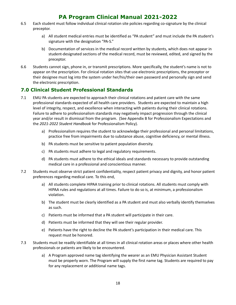- 6.5 Each student must follow individual clinical rotation site policies regarding co-signature by the clinical preceptor.
	- a) All student medical entries must be identified as "PA student" and must include the PA student's signature with the designation "PA-S."
	- b) Documentation of services in the medical record written by students, which does not appear in student-designated sections of the medical record, must be reviewed, edited, and signed by the preceptor.
- 6.6 Students cannot sign, phone in, or transmit prescriptions. More specifically, the student's name is not to appear on the prescription. For clinical rotation sites that use electronic prescriptions, the preceptor or their designee must log into the system under her/his/their own password and personally sign and send the electronic prescription.

## <span id="page-17-0"></span>**7.0 Clinical Student Professional Standards**

- 7.1 EMU PA students are expected to approach their clinical rotations and patient care with the same professional standards expected of all health care providers. Students are expected to maintain a high level of integrity, respect, and excellence when interacting with patients during their clinical rotations. Failure to adhere to professionalism standards may negatively impact progression through the clinical year and/or result in dismissal from the program. (See Appendix B for Professionalism Expectations and the *2021-2022 Student Handbook* for Professionalism Policy).
	- a) Professionalism requires the student to acknowledge their professional and personal limitations, practice free from impairments due to substance abuse, cognitive deficiency, or mental illness.
	- b) PA students must be sensitive to patient population diversity.
	- c) PA students must adhere to legal and regulatory requirements.
	- d) PA students must adhere to the ethical ideals and standards necessary to provide outstanding medical care in a professional and conscientious manner.
- 7.2 Students must observe strict patient confidentiality, respect patient privacy and dignity, and honor patient preferences regarding medical care. To this end,
	- a) All students complete HIPAA training prior to clinical rotations. All students must comply with HIPAA rules and regulations at all times. Failure to do so is, at minimum, a professionalism violation.
	- b) The student must be clearly identified as a PA student and must also verbally identify themselves as such.
	- c) Patients must be informed that a PA student will participate in their care.
	- d) Patients must be informed that they will see their regular provider.
	- e) Patients have the right to decline the PA student's participation in their medical care. This request must be honored.
- 7.3 Students must be readily identifiable at all times in all clinical rotation areas or places where other health professionals or patients are likely to be encountered.
	- a) A Program approved name tag identifying the wearer as an EMU Physician Assistant Student must be properly worn. The Program will supply the first name tag. Students are required to pay for any replacement or additional name tags.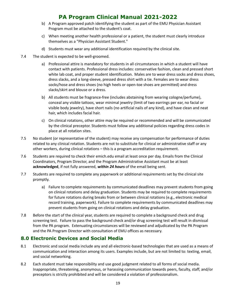- b) A Program approved patch identifying the student as part of the EMU Physician Assistant Program must be attached to the student's coat.
- c) When meeting another health professional or a patient, the student must clearly introduce themselves as a "Physician Assistant Student."
- d) Students must wear any additional identification required by the clinical site.
- 7.4 The student is expected to be well-groomed.
	- a) Professional attire is mandatory for students in all circumstances in which a student will have contact with patients. Professional dress includes: conservative fashion, clean and pressed short white lab coat, and proper student identification. Males are to wear dress socks and dress shoes, dress slacks, and a long-sleeve, pressed dress shirt with a tie. Females are to wear dress socks/hose and dress shoes (no high heels or open-toe shoes are permitted) and dress slacks/skirt and blouse or a dress.
	- b) All students must be fragrance-free (includes abstaining from wearing cologne/perfume), conceal any visible tattoos, wear minimal jewelry (limit of two earrings per ear, no facial or visible body jewelry), have short nails (no artificial nails of any kind), and have clean and neat hair, which includes facial hair.
	- c) On clinical rotations, other attire may be required or recommended and will be communicated by the clinical preceptor. Students must follow any additional policies regarding dress codes in place at all rotation sites.
- 7.5 No student (or representative of the student) may receive any compensation for performance of duties related to any clinical rotation. Students are not to substitute for clinical or administrative staff or any other workers, during clinical rotations – this is a program accreditation requirement.
- 7.6 Students are required to check their emich.edu email at least once per day. Emails from the Clinical Coordinators, Program Director, and the Program Administrative Assistant must be at least **acknowledged**, if not fully answered, *within 24 hours* of the email being sent.
- 7.7 Students are required to complete any paperwork or additional requirements set by the clinical site promptly.
	- a) Failure to complete requirements by communicated deadlines may prevent students from going on clinical rotations and delay graduation. Students may be required to complete requirements for future rotations during breaks from or between clinical rotations (e.g., electronic medical record training, paperwork). Failure to complete requirements by communicated deadlines may prevent students from going on clinical rotations and delay graduation.
- 7.8 Before the start of the clinical year, students are required to complete a background check and drug screening test. Failure to pass the background check and/or drug screening test will result in dismissal from the PA program. Extenuating circumstances will be reviewed and adjudicated by the PA Program and the PA Program Director with consultation of EMU offices as necessary.

## <span id="page-18-0"></span>**8.0 Electronic Devices and Social Media**

- 8.1 Electronic and social media include any and all electronic-based technologies that are used as a means of communication and interaction among its users. Examples include, but are not limited to: texting, email, and social networking.
- 8.2 Each student must take responsibility and use good judgment related to all forms of social media. Inappropriate, threatening, anonymous, or harassing communication towards peers, faculty, staff, and/or preceptors is strictly prohibited and will be considered a violation of professionalism.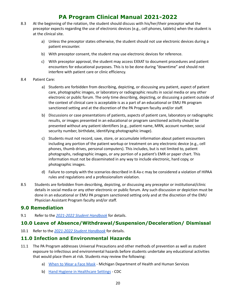- 8.3 At the beginning of the rotation, the student should discuss with his/her/their preceptor what the preceptor expects regarding the use of electronic devices (e.g., cell phones, tablets) when the student is at the clinical site.
	- a) Unless the preceptor states otherwise, the student should not use electronic devices during a patient encounter.
	- b) With preceptor consent, the student may use electronic devices for reference.
	- c) With preceptor approval, the student may access EXXAT to document procedures and patient encounters for educational purposes. This is to be done during "downtime" and should not interfere with patient care or clinic efficiency.

#### 8.4 Patient Care:

- a) Students are forbidden from describing, depicting, or discussing any patient, aspect of patient care, photographic images, or laboratory or radiographic results in social media or any other electronic or public forum. The only time describing, depicting, or discussing a patient outside of the context of clinical care is acceptable is as a part of an educational or EMU PA program sanctioned setting and at the discretion of the PA Program faculty and/or staff.
- b) Discussions or case presentations of patients, aspects of patient care, laboratory or radiographic results, or images presented in an educational or program sanctioned activity should be presented without any patient identifiers (e.g., patient name, MRN, account number, social security number, birthdate, identifying photographic image).
- c) Students must not record, save, store, or accumulate information about patient encounters including any portion of the patient workup or treatment on any electronic device (e.g., cell phones, thumb drives, personal computers). This includes, but is not limited to, patient photographs, radiographic images, or any portion of a patient's EMR or paper chart. This information must not be disseminated in any way to include electronic, hard copy, or photographic images.
- d) Failure to comply with the scenarios described in 8.4a-c may be considered a violation of HIPAA rules and regulations and a professionalism violation.
- 8.5 Students are forbidden from describing, depicting, or discussing any preceptor or institutional/clinic details in social media or any other electronic or public forum. Any such discussion or depiction must be done in an educational or EMU PA program sanctioned setting only and at the discretion of the EMU Physician Assistant Program faculty and/or staff.

## <span id="page-19-0"></span>**9.0 Remediation**

9.1 Refer to the *[2021-2022](https://www.emich.edu/chhs/hphp/programs/physician-assistant/documents/student-handbook.pdf?v=2021-08-23T18:29:54Z) Student Handbook* for details.

## <span id="page-19-1"></span>**10.0 Leave of Absence/Withdrawal/Suspension/Deceleration/ Dismissal**

10.1 Refer to the *[2021-2022](https://www.emich.edu/chhs/hphp/programs/physician-assistant/documents/student-handbook.pdf?v=2021-08-23T18:29:54Z) Student Handbook* for details.

## <span id="page-19-2"></span>**11.0 Infection and Environmental Hazards**

- 11.1 The PA Program addresses Universal Precautions and other methods of prevention as well as student exposure to infectious and environmental hazards before students undertake any educational activities that would place them at risk. Students may review the following:
	- a) [When](https://www.michigan.gov/documents/coronavirus/MDHHS_Face_Mask_Recommendations_5.20.21_725941_7.pdf) to Wear a Face Mask Michigan Department of Health and Human Services
	- b) Hand Hygiene in [Healthcare](https://www.cdc.gov/handhygiene/providers/guideline.html) Settings CDC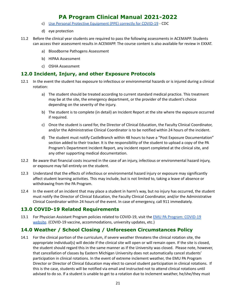- c) Use Personal Protective [Equipment](https://www.youtube.com/watch?v=YYTATw9yav4) (PPE) correctly for COVID-19 CDC
- d) eye protection
- 11.2 Before the clinical year students are required to pass the following assessments in ACEMAPP. Students can access their assessment results in ACEMAPP. The course content is also available for review in EXXAT.
	- a) Bloodborne Pathogens Assessment
	- b) HIPAA Assessment
	- c) OSHA Assessment

### <span id="page-20-0"></span>**12.0 Incident, Injury, and other Exposure Protocols**

- 12.1 In the event the student has exposure to infectious or environmental hazards or is injured during a clinical rotation:
	- a) The student should be treated according to current standard medical practice. This treatment may be at the site, the emergency department, or the provider of the student's choice depending on the severity of the injury.
	- b) The student is to complete (in detail) an Incident Report at the site where the exposure occurred if required.
	- c) Once the student is cared for, the Director of Clinical Education, the Faculty Clinical Coordinator, and/or the Administrative Clinical Coordinator is to be notified within 24 hours of the incident.
	- d) The student must notify CastleBranch within 48 hours to have a "Post Exposure Documentation" section added to their tracker. It is the responsibility of the student to upload a copy of the PA Program's Department Incident Report, any incident report completed at the clinical site, and any other supporting medical documentation.
- 12.2 Be aware that financial costs incurred in the case of an injury, infectious or environmental hazard injury, or exposure may fall entirely on the student.
- 12.3 Understand that the effects of infectious or environmental hazard injury or exposure may significantly affect student learning activities. This may include, but is not limited to, taking a leave of absence or withdrawing from the PA Program.
- 12.4 In the event of an incident that may place a student in harm's way, but no injury has occurred, the student must notify the Director of Clinical Education, the Faculty Clinical Coordinator, and/or the Administrative Clinical Coordinator within 24 hours of the event. In case of emergency, call 911 immediately.

## <span id="page-20-1"></span>**13.0 COVID-19 Related Requirements**

13.1 For Physician Assistant Program policies related to COVID-19, visit the EMU PA Program: [COVID-19](https://www.emich.edu/chhs/hphp/programs/physician-assistant/covid-19.php) [website](https://www.emich.edu/chhs/hphp/programs/physician-assistant/covid-19.php). (COVID-19 vaccine, accommodations, university updates, etc.)

## <span id="page-20-2"></span>**14.0 Weather / School Closing / Unforeseen Circumstances Policy**

14.1 For the clinical portion of the curriculum, if severe weather threatens the clinical rotation site, the appropriate individual(s) will decide if the clinical site will open or will remain open. If the site is closed, the student should regard this in the same manner as if the University was closed. Please note, however, that cancellation of classes by Eastern Michigan University does not automatically cancel students' participation in clinical rotations. In the event of extreme inclement weather, the EMU PA Program Director or Director of Clinical Education may elect to cancel student participation in clinical rotations. If this is the case, students will be notified via email and instructed not to attend clinical rotations until advised to do so. If a student is unable to get to a rotation due to inclement weather, he/she/they must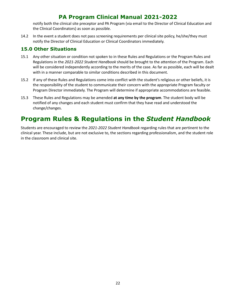notify both the clinical site preceptor and PA Program (via email to the Director of Clinical Education and the Clinical Coordinators) as soon as possible.

14.2 In the event a student does not pass screening requirements per clinical site policy, he/she/they must notify the Director of Clinical Education or Clinical Coordinators immediately.

## <span id="page-21-0"></span>**15.0 Other Situations**

- 15.1 Any other situation or condition not spoken to in these Rules and Regulations or the Program Rules and Regulations in the *2021-2022 Student Handbook* should be brought to the attention of the Program. Each will be considered independently according to the merits of the case. As far as possible, each will be dealt with in a manner comparable to similar conditions described in this document.
- 15.2 If any of these Rules and Regulations come into conflict with the student's religious or other beliefs, it is the responsibility of the student to communicate their concern with the appropriate Program faculty or Program Director immediately. The Program will determine if appropriate accommodations are feasible.
- 15.3 These Rules and Regulations may be amended **at any time by the program**. The student body will be notified of any changes and each student must confirm that they have read and understood the change/changes.

# <span id="page-21-1"></span>**Program Rules & Regulations in the** *Student Handbook*

<span id="page-21-2"></span>Students are encouraged to review the *2021-2022 Student Handbook* regarding rules that are pertinent to the clinical year. These include, but are not exclusive to, the sections regarding professionalism, and the student role in the classroom and clinical site.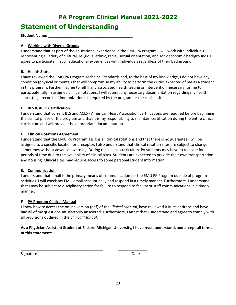# **Statement of Understanding**

**Student Name: \_\_\_\_\_\_\_\_\_\_\_\_\_\_\_\_\_\_\_\_\_\_\_\_\_\_\_\_\_\_\_\_\_\_\_\_\_\_\_\_**

#### **A. Working with Diverse Groups**

I understand that as part of the educational experience in the EMU PA Program, I will work with individuals representing a variety of cultural, religious, ethnic, racial, sexual orientation, and socioeconomic backgrounds. I agree to participate in such educational experiences with individuals regardless of their background.

#### **B. Health Status**

I have reviewed the EMU PA Program Technical Standards and, to the best of my knowledge, I do not have any condition (physical or mental) that will compromise my ability to perform the duties expected of me as a student in this program. Further, I agree to fulfill any associated health testing or intervention necessary for me to participate fully in assigned clinical rotations. I will submit any necessary documentation regarding my health status (e.g., records of immunization) as required by the program or the clinical site.

#### **C. BLS & ACLS Certification**

I understand that current BLS and ACLS - American Heart Association certifications are required before beginning the clinical phase of the program and that it is my responsibility to maintain certification during the entire clinical curriculum and will provide the appropriate documentation.

#### **D. Clinical Rotations Agreement**

I understand that the EMU PA Program assigns all clinical rotations and that there is no guarantee I will be assigned to a specific location or preceptor. I also understand that clinical rotation sites are subject to change, sometimes without advanced warning. During the clinical curriculum, PA students may have to relocate for periods of time due to the availability of clinical sites. Students are expected to provide their own transportation and housing. Clinical sites may require access to some personal student information.

#### **E. Communication**

I understand that email is the primary means of communication for the EMU PA Program outside of program activities. I will check my EMU email account daily and respond in a timely manner. Furthermore, I understand that I may be subject to disciplinary action for failure to respond to faculty or staff communications in a timely manner.

#### **F. PA Program Clinical Manual**

I know how to access the online version (pdf) of the *Clinical Manual*, have reviewed it in its entirety, and have had all of my questions satisfactorily answered. Furthermore, I attest that I understand and agree to comply with all provisions outlined in the *Clinical Manual*.

### As a Physician Assistant Student at Eastern Michigan University, I have read, understand, and accept all terms **of this statement:**

\_\_\_\_\_\_\_\_\_\_\_\_\_\_\_\_\_\_\_\_\_\_\_\_\_\_\_\_\_\_\_\_\_\_\_\_\_\_\_ \_\_\_\_\_\_\_\_\_\_\_\_\_\_

Signature Date Date Date Date Date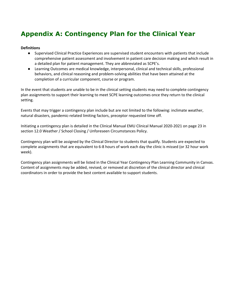# **Appendix A: Contingency Plan for the Clinical Year**

#### **Definitions**

- Supervised Clinical Practice Experiences are supervised student encounters with patients that include comprehensive patient assessment and involvement in patient care decision making and which result in a detailed plan for patient management. They are abbreviated as SCPE's.
- Learning Outcomes are medical knowledge, interpersonal, clinical and technical skills, professional behaviors, and clinical reasoning and problem-solving abilities that have been attained at the completion of a curricular component, course or program.

In the event that students are unable to be in the clinical setting students may need to complete contingency plan assignments to support their learning to meet SCPE learning outcomes once they return to the clinical setting.

Events that may trigger a contingency plan include but are not limited to the following: inclimate weather, natural disasters, pandemic-related limiting factors, preceptor requested time off.

Initiating a contingency plan is detailed in the Clinical Manual EMU Clinical Manual 2020-2021 on page 23 in section 12.0 Weather / School Closing / Unforeseen Circumstances Policy.

Contingency plan will be assigned by the Clinical Director to students that qualify. Students are expected to complete assignments that are equivalent to 6-8 hours of work each day the clinic is missed (or 32 hour work week).

Contingency plan assignments will be listed in the Clinical Year Contingency Plan Learning Community in Canvas. Content of assignments may be added, revised, or removed at discretion of the clinical director and clinical coordinators in order to provide the best content available to support students.